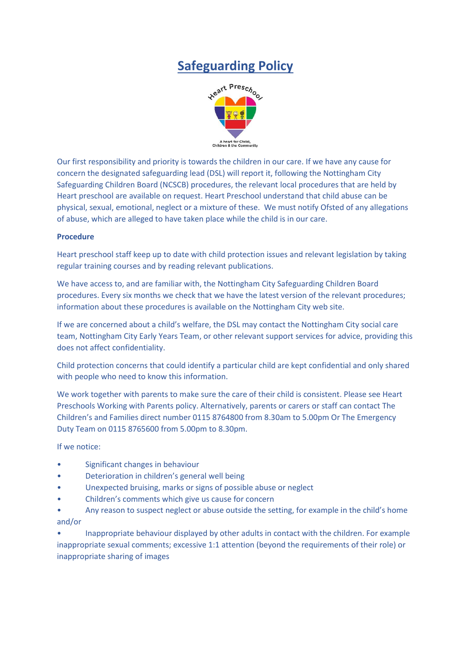## **Safeguarding Policy**



Our first responsibility and priority is towards the children in our care. If we have any cause for concern the designated safeguarding lead (DSL) will report it, following the Nottingham City Safeguarding Children Board (NCSCB) procedures, the relevant local procedures that are held by Heart preschool are available on request. Heart Preschool understand that child abuse can be physical, sexual, emotional, neglect or a mixture of these. We must notify Ofsted of any allegations of abuse, which are alleged to have taken place while the child is in our care.

## **Procedure**

Heart preschool staff keep up to date with child protection issues and relevant legislation by taking regular training courses and by reading relevant publications.

We have access to, and are familiar with, the Nottingham City Safeguarding Children Board procedures. Every six months we check that we have the latest version of the relevant procedures; information about these procedures is available on the Nottingham City web site.

If we are concerned about a child's welfare, the DSL may contact the Nottingham City social care team, Nottingham City Early Years Team, or other relevant support services for advice, providing this does not affect confidentiality.

Child protection concerns that could identify a particular child are kept confidential and only shared with people who need to know this information.

We work together with parents to make sure the care of their child is consistent. Please see Heart Preschools Working with Parents policy. Alternatively, parents or carers or staff can contact The Children's and Families direct number 0115 8764800 from 8.30am to 5.00pm Or The Emergency Duty Team on 0115 8765600 from 5.00pm to 8.30pm.

If we notice:

- Significant changes in behaviour
- Deterioration in children's general well being
- Unexpected bruising, marks or signs of possible abuse or neglect
- Children's comments which give us cause for concern
- Any reason to suspect neglect or abuse outside the setting, for example in the child's home and/or

• Inappropriate behaviour displayed by other adults in contact with the children. For example inappropriate sexual comments; excessive 1:1 attention (beyond the requirements of their role) or inappropriate sharing of images